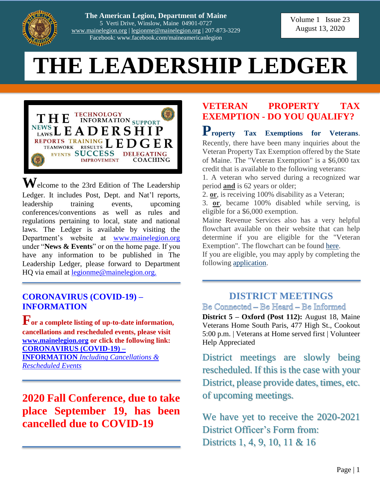

**The American Legion, Department of Maine** 5 Verti Drive, Winslow, Maine 04901-0727 [www.mainelegion.org](http://www.mainelegion.org/) | [legionme@mainelegion.org](mailto:legionme@mainelegion.org) | 207-873-3229 Facebook: www.facebook.com/maineamericanlegion

Volume 1 Issue 23 August 13, 2020

# **THE LEADERSHIP LEDGER**



**W**elcome to the 23rd Edition of The Leadership Ledger. It includes Post, Dept. and Nat'l reports, leadership training events, upcoming conferences/conventions as well as rules and regulations pertaining to local, state and national laws. The Ledger is available by visiting the Department's website at [www.mainelegion.org](http://www.mainelegion.org/) under "**News & Events**" or on the home page. If you have any information to be published in The Leadership Ledger, please forward to Department HQ via email at [legionme@mainelegion.org.](mailto:legionme@mainelegion.org)

#### **[CORONAVIRUS \(COVID-19\) –](http://www.mainelegion.org/pages/news-events/covid-19-info.php) [INFORMATION](http://www.mainelegion.org/pages/news-events/covid-19-info.php)**

**For a complete listing of up-to-date information, cancellations and rescheduled events, please visit [www.mainelegion.org](http://www.mainelegion.org/) or click the following link: [CORONAVIRUS \(COVID-19\) –](http://www.mainelegion.org/pages/news-events/covid-19-info.php) INFORMATION** *[Including Cancellations &](http://www.mainelegion.org/pages/news-events/covid-19-info.php)  [Rescheduled Events](http://www.mainelegion.org/pages/news-events/covid-19-info.php)*

**2020 Fall Conference, due to take place September 19, has been cancelled due to COVID-19**

## **VETERAN PROPERTY TAX EXEMPTION - DO YOU QUALIFY?**

**Property Tax Exemptions for Veterans**. Recently, there have been many inquiries about the Veteran Property Tax Exemption offered by the State of Maine. The "Veteran Exemption" is a \$6,000 tax credit that is available to the following veterans:

1. A veteran who served during a recognized war period **and** is 62 years or older;

2. **or**, is receiving 100% disability as a Veteran;

3. **or**, became 100% disabled while serving, is eligible for a \$6,000 exemption.

Maine Revenue Services also has a very helpful flowchart available on their website that can help determine if you are eligible for the "Veteran Exemption". The flowchart can be found [here.](https://iqconnect.lmhostediq.com/IQExtranet/iqClickTrk.aspx?&cid=MaineVets&crop=14209.5291981.5011068.7014287&report_id=&redirect=https%3a%2f%2fwww.maine.gov%2frevenue%2fpropertytax%2fsidebar%2fvetflowchart.pdf&redir_log=040695923132473)

If you are eligible, you may apply by completing the following [application.](https://iqconnect.lmhostediq.com/IQExtranet/iqClickTrk.aspx?&cid=MaineVets&crop=14209.5291981.5011068.7014287&report_id=&redirect=https%3a%2f%2fwww.maine.gov%2frevenue%2fforms%2fproperty%2fapps%2fveteranapp.pdf&redir_log=548464020415456)

#### **DISTRICT MEETINGS** Be Connected - Be Heard - Be Informed

**District 5 – Oxford (Post 112):** August 18, Maine Veterans Home South Paris, 477 High St., Cookout 5:00 p.m. | Veterans at Home served first | Volunteer Help Appreciated

District meetings are slowly being rescheduled. If this is the case with your District, please provide dates, times, etc. of upcoming meetings.

We have yet to receive the 2020-2021 District Officer's Form from: Districts 1, 4, 9, 10, 11 & 16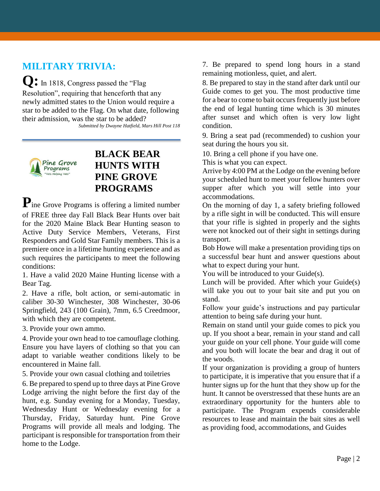## **MILITARY TRIVIA:**

 $Q: \text{In } 1818, \text{ Congress passed the "Flag}$ 

Resolution", requiring that henceforth that any newly admitted states to the Union would require a star to be added to the Flag. On what date, following their admission, was the star to be added? *Submitted by Dwayne Hatfield, Mars Hill Post 118*



## **BLACK BEAR HUNTS WITH PINE GROVE PROGRAMS**

**P**ine Grove Programs is offering a limited number of FREE three day Fall Black Bear Hunts over bait for the 2020 Maine Black Bear Hunting season to Active Duty Service Members, Veterans, First Responders and Gold Star Family members. This is a premiere once in a lifetime hunting experience and as such requires the participants to meet the following conditions:

1. Have a valid 2020 Maine Hunting license with a Bear Tag.

2. Have a rifle, bolt action, or semi-automatic in caliber 30-30 Winchester, 308 Winchester, 30-06 Springfield, 243 (100 Grain), 7mm, 6.5 Creedmoor, with which they are competent.

3. Provide your own ammo.

4. Provide your own head to toe camouflage clothing. Ensure you have layers of clothing so that you can adapt to variable weather conditions likely to be encountered in Maine fall.

5. Provide your own casual clothing and toiletries

6. Be prepared to spend up to three days at Pine Grove Lodge arriving the night before the first day of the hunt, e.g. Sunday evening for a Monday, Tuesday, Wednesday Hunt or Wednesday evening for a Thursday, Friday, Saturday hunt. Pine Grove Programs will provide all meals and lodging. The participant is responsible for transportation from their home to the Lodge.

7. Be prepared to spend long hours in a stand remaining motionless, quiet, and alert.

8. Be prepared to stay in the stand after dark until our Guide comes to get you. The most productive time for a bear to come to bait occurs frequently just before the end of legal hunting time which is 30 minutes after sunset and which often is very low light condition.

9. Bring a seat pad (recommended) to cushion your seat during the hours you sit.

10. Bring a cell phone if you have one.

This is what you can expect.

Arrive by 4:00 PM at the Lodge on the evening before your scheduled hunt to meet your fellow hunters over supper after which you will settle into your accommodations.

On the morning of day 1, a safety briefing followed by a rifle sight in will be conducted. This will ensure that your rifle is sighted in properly and the sights were not knocked out of their sight in settings during transport.

Bob Howe will make a presentation providing tips on a successful bear hunt and answer questions about what to expect during your hunt.

You will be introduced to your Guide(s).

Lunch will be provided. After which your Guide(s) will take you out to your bait site and put you on stand.

Follow your guide's instructions and pay particular attention to being safe during your hunt.

Remain on stand until your guide comes to pick you up. If you shoot a bear, remain in your stand and call your guide on your cell phone. Your guide will come and you both will locate the bear and drag it out of the woods.

If your organization is providing a group of hunters to participate, it is imperative that you ensure that if a hunter signs up for the hunt that they show up for the hunt. It cannot be overstressed that these hunts are an extraordinary opportunity for the hunters able to participate. The Program expends considerable resources to lease and maintain the bait sites as well as providing food, accommodations, and Guides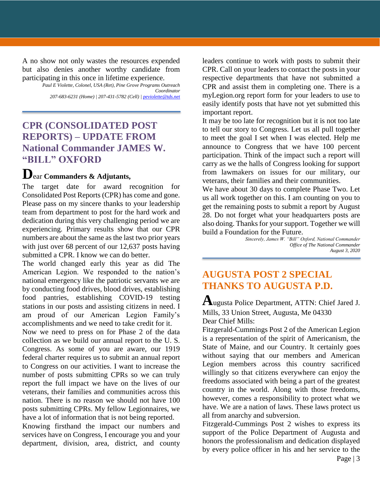A no show not only wastes the resources expended but also denies another worthy candidate from participating in this once in lifetime experience.

> *Paul E Violette, Colonel, USA (Ret), Pine Grove Programs Outreach Coordinator 207-683-6231 (Home) | 207-431-5782 (Cell) [| peviolette@tds.net](mailto:peviolette@tds.net)*

## **CPR (CONSOLIDATED POST REPORTS) – UPDATE FROM National Commander JAMES W. "BILL" OXFORD**

## **D**ear **Commanders & Adjutants,**

The target date for award recognition for Consolidated Post Reports (CPR) has come and gone. Please pass on my sincere thanks to your leadership team from department to post for the hard work and dedication during this very challenging period we are experiencing. Primary results show that our CPR numbers are about the same as the last two prior years with just over 68 percent of our 12,637 posts having submitted a CPR. I know we can do better.

The world changed early this year as did The American Legion. We responded to the nation's national emergency like the patriotic servants we are by conducting food drives, blood drives, establishing food pantries, establishing COVID-19 testing stations in our posts and assisting citizens in need. I am proud of our American Legion Family's accomplishments and we need to take credit for it.

Now we need to press on for Phase 2 of the data collection as we build our annual report to the U. S. Congress. As some of you are aware, our 1919 federal charter requires us to submit an annual report to Congress on our activities. I want to increase the number of posts submitting CPRs so we can truly report the full impact we have on the lives of our veterans, their families and communities across this nation. There is no reason we should not have 100 posts submitting CPRs. My fellow Legionnaires, we have a lot of information that is not being reported.

Knowing firsthand the impact our numbers and services have on Congress, I encourage you and your department, division, area, district, and county

leaders continue to work with posts to submit their CPR. Call on your leaders to contact the posts in your respective departments that have not submitted a CPR and assist them in completing one. There is a myLegion.org report form for your leaders to use to easily identify posts that have not yet submitted this important report.

It may be too late for recognition but it is not too late to tell our story to Congress. Let us all pull together to meet the goal I set when I was elected. Help me announce to Congress that we have 100 percent participation. Think of the impact such a report will carry as we the halls of Congress looking for support from lawmakers on issues for our military, our veterans, their families and their communities.

We have about 30 days to complete Phase Two. Let us all work together on this. I am counting on you to get the remaining posts to submit a report by August 28. Do not forget what your headquarters posts are also doing. Thanks for your support. Together we will build a Foundation for the Future.

*Sincerely, James W. "Bill" Oxford, National Commander Office of The National Commander August 3, 2020* 

## **AUGUSTA POST 2 SPECIAL THANKS TO AUGUSTA P.D.**

**A**ugusta Police Department, ATTN: Chief Jared J. Mills, 33 Union Street, Augusta, Me 04330 Dear Chief Mills:

Fitzgerald-Cummings Post 2 of the American Legion is a representation of the spirit of Americanism, the State of Maine, and our Country. It certainly goes without saying that our members and American Legion members across this country sacrificed willingly so that citizens everywhere can enjoy the freedoms associated with being a part of the greatest country in the world. Along with those freedoms, however, comes a responsibility to protect what we have. We are a nation of laws. These laws protect us all from anarchy and subversion.

Page | 3 Fitzgerald-Cummings Post 2 wishes to express its support of the Police Department of Augusta and honors the professionalism and dedication displayed by every police officer in his and her service to the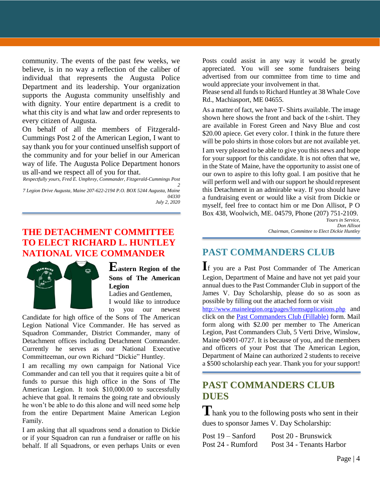community. The events of the past few weeks, we believe, is in no way a reflection of the caliber of individual that represents the Augusta Police Department and its leadership. Your organization supports the Augusta community unselfishly and with dignity. Your entire department is a credit to what this city is and what law and order represents to every citizen of Augusta.

On behalf of all the members of Fitzgerald-Cummings Post 2 of the American Legion, I want to say thank you for your continued unselfish support of the community and for your belief in our American way of life. The Augusta Police Department honors us all-and we respect all of you for that.

*Respectfully yours, Fred E. Umphrey, Commander, Fitzgerald-Cummings Post 2*

*7 Legion Drive Augusta, Maine 207-622-2194 P.O. BOX 5244 Augusta, Maine 04330 July 2, 2020*

### **THE DETACHMENT COMMITTEE TO ELECT RICHARD L. HUNTLEY NATIONAL VICE COMMANDER**



**Eastern Region of the Sons of The American Legion** Ladies and Gentlemen,

I would like to introduce to you our newest

Candidate for high office of the Sons of The American Legion National Vice Commander. He has served as Squadron Commander, District Commander, many of Detachment offices including Detachment Commander. Currently he serves as our National Executive Committeeman, our own Richard "Dickie" Huntley.

I am recalling my own campaign for National Vice Commander and can tell you that it requires quite a bit of funds to pursue this high office in the Sons of The American Legion. It took \$10,000.00 to successfully achieve that goal. It remains the going rate and obviously he won't be able to do this alone and will need some help from the entire Department Maine American Legion Family.

I am asking that all squadrons send a donation to Dickie or if your Squadron can run a fundraiser or raffle on his behalf. If all Squadrons, or even perhaps Units or even

Posts could assist in any way it would be greatly appreciated. You will see some fundraisers being advertised from our committee from time to time and would appreciate your involvement in that.

Please send all funds to Richard Huntley at 38 Whale Cove Rd., Machiasport, ME 04655.

As a matter of fact, we have T- Shirts available. The image shown here shows the front and back of the t-shirt. They are available in Forest Green and Navy Blue and cost \$20.00 apiece. Get every color. I think in the future there will be polo shirts in those colors but are not available yet.

I am very pleased to be able to give you this news and hope for your support for this candidate. It is not often that we, in the State of Maine, have the opportunity to assist one of our own to aspire to this lofty goal. I am positive that he will perform well and with our support he should represent this Detachment in an admirable way. If you should have a fundraising event or would like a visit from Dickie or myself, feel free to contact him or me Don Allisot, P O Box 438, Woolwich, ME. 04579, Phone (207) 751-2109.

*Yours in Service, Don Allisot Chairman, Committee to Elect Dickie Huntley*

## **PAST COMMANDERS CLUB**

**I**f you are a Past Post Commander of The American Legion, Department of Maine and have not yet paid your annual dues to the Past Commander Club in support of the James V. Day Scholarship, please do so as soon as possible by filling out the attached form or visit <http://www.mainelegion.org/pages/formsapplications.php> and

click on the [Past Commanders Club \(Fillable\)](http://www.mainelegion.org/media/LEADERSHIP_LEDGER/PCC_2018_FILLABLE_2.pdf) form. Mail form along with \$2.00 per member to The American Legion, Past Commanders Club, 5 Verti Drive, Winslow, Maine 04901-0727. It is because of you, and the members and officers of your Post that The American Legion, Department of Maine can authorized 2 students to receive a \$500 scholarship each year. Thank you for your support!

## **PAST COMMANDERS CLUB DUES**

**T**hank you to the following posts who sent in their dues to sponsor James V. Day Scholarship:

| Post $19 -$ Sanford | Post 20 - Brunswick      |
|---------------------|--------------------------|
| Post 24 - Rumford   | Post 34 - Tenants Harbor |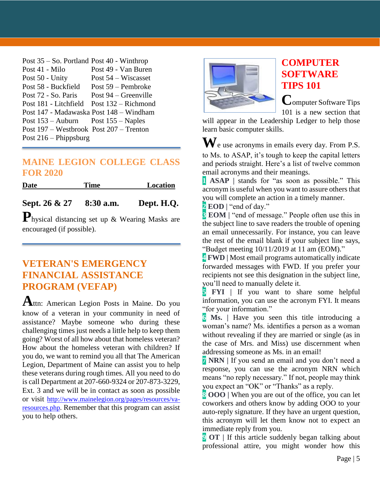| Post $35 -$ So. Portland Post $40$ - Winthrop |                        |
|-----------------------------------------------|------------------------|
| Post 41 - Milo                                | Post 49 - Van Buren    |
| Post 50 - Unity                               | Post $54$ – Wiscasset  |
| Post 58 - Buckfield                           | Post 59 – Pembroke     |
| Post 72 - So. Paris                           | Post $94 -$ Greenville |
| Post 181 - Litchfield                         | Post 132 – Richmond    |
| Post 147 - Madawaska Post 148 – Windham       |                        |
| Post $153 -$ Auburn Post $155 -$ Naples       |                        |
| Post $197$ – Westbrook Post $207$ – Trenton   |                        |
| Post $216$ – Phippsburg                       |                        |

#### **MAINE LEGION COLLEGE CLASS FOR 2020**

| <b>Date</b>   | Time        | Location   |
|---------------|-------------|------------|
|               |             |            |
| Sept. 26 & 27 | $8:30$ a.m. | Dept. H.Q. |

**P**hysical distancing set up & Wearing Masks are encouraged (if possible).

## **VETERAN'S EMERGENCY FINANCIAL ASSISTANCE PROGRAM (VEFAP)**

**A**ttn: American Legion Posts in Maine. Do you know of a veteran in your community in need of assistance? Maybe someone who during these challenging times just needs a little help to keep them going? Worst of all how about that homeless veteran? How about the homeless veteran with children? If you do, we want to remind you all that The American Legion, Department of Maine can assist you to help these veterans during rough times. All you need to do is call Department at 207-660-9324 or 207-873-3229, Ext. 3 and we will be in contact as soon as possible or visit [http://www.mainelegion.org/pages/resources/va](http://www.mainelegion.org/pages/resources/va-resources.php)[resources.php.](http://www.mainelegion.org/pages/resources/va-resources.php) Remember that this program can assist you to help others.



## **COMPUTER SOFTWARE TIPS 101**

**C**omputer Software Tips 101 is a new section that

will appear in the Leadership Ledger to help those learn basic computer skills.

**W**e use acronyms in emails every day. From P.S. to Ms. to ASAP, it's tough to keep the capital letters and periods straight. Here's a list of twelve common email acronyms and their meanings.

**1 ASAP |** stands for "as soon as possible." This acronym is useful when you want to assure others that you will complete an action in a timely manner.

**2 EOD** | "end of day."

**3 EOM |** "end of message." People often use this in the subject line to save readers the trouble of opening an email unnecessarily. For instance, you can leave the rest of the email blank if your subject line says, "Budget meeting 10/11/2019 at 11 am (EOM)."

**4 FWD |** Most email programs automatically indicate forwarded messages with FWD. If you prefer your recipients not see this designation in the subject line, you'll need to manually delete it.

**5 FYI |** If you want to share some helpful information, you can use the acronym FYI. It means "for your information."

**6 Ms. |** Have you seen this title introducing a woman's name? Ms. identifies a person as a woman without revealing if they are married or single (as in the case of Mrs. and Miss) use discernment when addressing someone as Ms. in an email!

**7 NRN |** If you send an email and you don't need a response, you can use the acronym NRN which means "no reply necessary." If not, people may think you expect an "OK" or "Thanks" as a reply.

**8 OOO |** When you are out of the office, you can let coworkers and others know by adding OOO to your auto-reply signature. If they have an urgent question, this acronym will let them know not to expect an immediate reply from you.

**9 OT |** If this article suddenly began talking about professional attire, you might wonder how this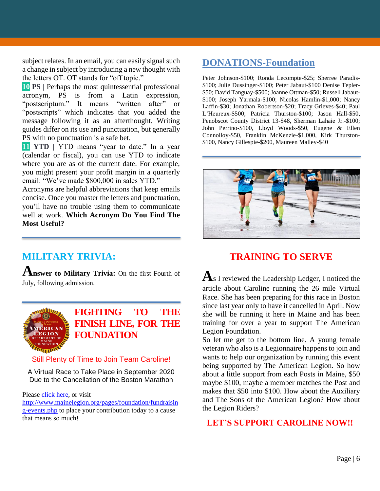subject relates. In an email, you can easily signal such a change in subject by introducing a new thought with the letters OT. OT stands for "off topic."

**10 PS |** Perhaps the most quintessential professional acronym, PS is from a Latin expression, "postscriptum." It means "written after" or "postscripts" which indicates that you added the message following it as an afterthought. Writing guides differ on its use and punctuation, but generally PS with no punctuation is a safe bet.

**11 YTD** | **YTD** means "year to date." In a year (calendar or fiscal), you can use YTD to indicate where you are as of the current date. For example, you might present your profit margin in a quarterly email: "We've made \$800,000 in sales YTD."

Acronyms are helpful abbreviations that keep emails concise. Once you master the letters and punctuation, you'll have no trouble using them to communicate well at work. **Which Acronym Do You Find The Most Useful?**

## **MILITARY TRIVIA:**

**Answer to Military Trivia:** On the first Fourth of July, following admission.



**[FIGHTING TO THE](https://www.gofundme.com/f/5hx779-a-cause-i-care-about-needs-help?utm_source=customer&utm_medium=copy_link&utm_campaign=p_cf+share-flow-1)  FINISH [LINE, FOR THE](https://www.gofundme.com/f/5hx779-a-cause-i-care-about-needs-help?utm_source=customer&utm_medium=copy_link&utm_campaign=p_cf+share-flow-1)  [FOUNDATION](https://www.gofundme.com/f/5hx779-a-cause-i-care-about-needs-help?utm_source=customer&utm_medium=copy_link&utm_campaign=p_cf+share-flow-1)**

#### Still Plenty of Time to Join Team Caroline!

A Virtual Race to Take Place in September 2020 Due to the Cancellation of the Boston Marathon

Please [click here,](https://www.gofundme.com/f/5hx779-a-cause-i-care-about-needs-help?utm_source=customer&utm_medium=copy_link&utm_campaign=p_cf+share-flow-1) or visit

[http://www.mainelegion.org/pages/foundation/fundraisin](http://www.mainelegion.org/pages/foundation/fundraising-events.php) [g-events.php](http://www.mainelegion.org/pages/foundation/fundraising-events.php) to place your contribution today to a cause that means so much!

## **DONATIONS-Foundation**

Peter Johnson-\$100; Ronda Lecompte-\$25; Sherree Paradis- \$100; Julie Dussinger-\$100; Peter Jabaut-\$100 Denise Tepler- \$50; David Tanguay-\$500; Joanne Ottman-\$50; Russell Jabaut- \$100; Joseph Yarmala-\$100; Nicolas Hamlin-\$1,000; Nancy Laffin-\$30; Jonathan Robertson-\$20; Tracy Grieves-\$40; Paul L'Heureux-\$500; Patricia Thurston-\$100; Jason Hall-\$50, Penobscot County District 13-\$48, Sherman Lahaie Jr.-\$100; John Perrino-\$100, Lloyd Woods-\$50, Eugene & Ellen Connolloy-\$50, Franklin McKenzie-\$1,000, Kirk Thurston- \$100, Nancy Gillespie-\$200, Maureen Malley-\$40



## **TRAINING TO SERVE**

**A**s I reviewed the Leadership Ledger, I noticed the article about Caroline running the 26 mile Virtual Race. She has been preparing for this race in Boston since last year only to have it cancelled in April. Now she will be running it here in Maine and has been training for over a year to support The American Legion Foundation.

So let me get to the bottom line. A young female veteran who also is a Legionnaire happens to join and wants to help our organization by running this event being supported by The American Legion. So how about a little support from each Posts in Maine, \$50 maybe \$100, maybe a member matches the Post and makes that \$50 into \$100. How about the Auxiliary and The Sons of the American Legion? How about the Legion Riders?

 **LET'S SUPPORT CAROLINE NOW!!**